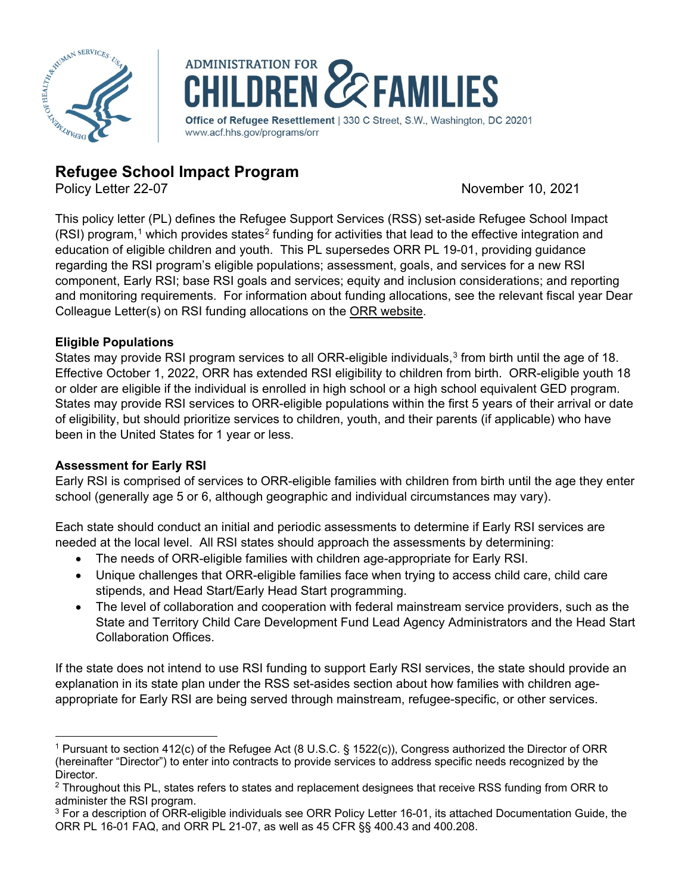



# **Refugee School Impact Program**<br>Policy Letter 22-07

November 10, 2021

This policy letter (PL) defines the Refugee Support Services (RSS) set-aside Refugee School Impact  $(RSI)$  program,<sup>[1](#page-0-0)</sup> which provides states<sup>[2](#page-0-1)</sup> funding for activities that lead to the effective integration and education of eligible children and youth. This PL supersedes ORR PL 19-01, providing guidance regarding the RSI program's eligible populations; assessment, goals, and services for a new RSI component, Early RSI; base RSI goals and services; equity and inclusion considerations; and reporting and monitoring requirements. For information about funding allocations, see the relevant fiscal year Dear Colleague Letter(s) on RSI funding allocations on the [ORR website.](https://www.acf.hhs.gov/orr/policy-guidance/dear-colleague-letter)

# **Eligible Populations**

States may provide RSI program services to all ORR-eligible individuals,<sup>[3](#page-0-2)</sup> from birth until the age of 18. Effective October 1, 2022, ORR has extended RSI eligibility to children from birth. ORR-eligible youth 18 or older are eligible if the individual is enrolled in high school or a high school equivalent GED program. States may provide RSI services to ORR-eligible populations within the first 5 years of their arrival or date of eligibility, but should prioritize services to children, youth, and their parents (if applicable) who have been in the United States for 1 year or less.

# **Assessment for Early RSI**

Early RSI is comprised of services to ORR-eligible families with children from birth until the age they enter school (generally age 5 or 6, although geographic and individual circumstances may vary).

Each state should conduct an initial and periodic assessments to determine if Early RSI services are needed at the local level. All RSI states should approach the assessments by determining:

- The needs of ORR-eligible families with children age-appropriate for Early RSI.
- Unique challenges that ORR-eligible families face when trying to access child care, child care stipends, and Head Start/Early Head Start programming.
- The level of collaboration and cooperation with federal mainstream service providers, such as the [State and Territory Child Care Development Fund Lead Agency Administrators](https://www.acf.hhs.gov/occ/contact-information/state-and-territory-child-care-and-development-fund-administrators) and the [Head Start](https://eclkc.ohs.acf.hhs.gov/programs/head-start-collaboration-offices-state)  [Collaboration Offices.](https://eclkc.ohs.acf.hhs.gov/programs/head-start-collaboration-offices-state)

If the state does not intend to use RSI funding to support Early RSI services, the state should provide an explanation in its state plan under the RSS set-asides section about how families with children ageappropriate for Early RSI are being served through mainstream, refugee-specific, or other services.

<span id="page-0-0"></span><sup>1</sup> Pursuant to section 412(c) of the Refugee Act (8 U.S.C. § 1522(c)), Congress authorized the Director of ORR (hereinafter "Director") to enter into contracts to provide services to address specific needs recognized by the Director.

<span id="page-0-1"></span> $2$  Throughout this PL, states refers to states and replacement designees that receive RSS funding from ORR to administer the RSI program.

<span id="page-0-2"></span> $3$  For a description of ORR-eligible individuals see ORR Policy Letter 16-01, its attached Documentation Guide, the ORR PL 16-01 FAQ, and ORR PL 21-07, as well as 45 CFR §§ 400.43 and 400.208.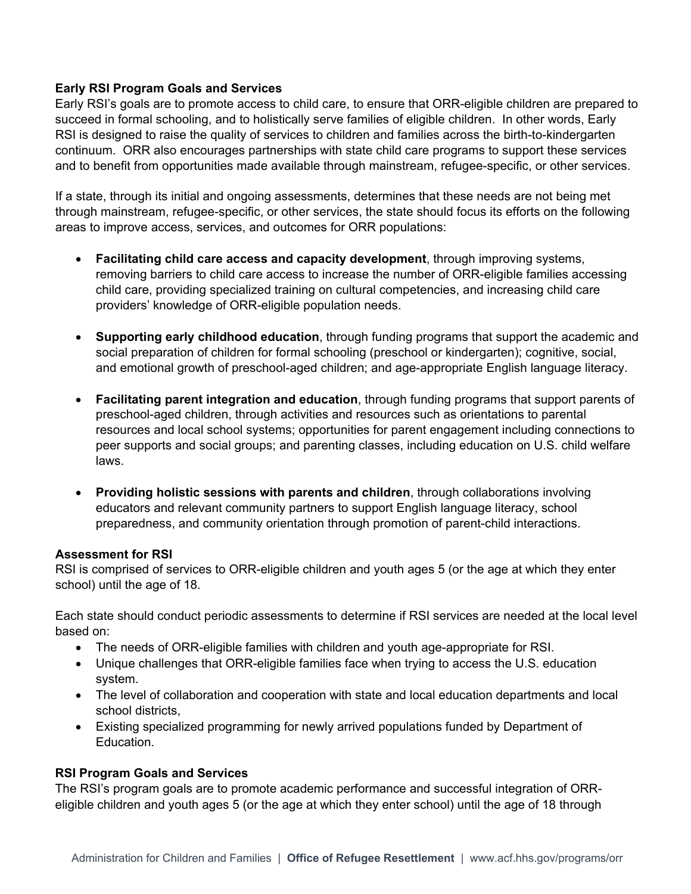## **Early RSI Program Goals and Services**

Early RSI's goals are to promote access to child care, to ensure that ORR-eligible children are prepared to succeed in formal schooling, and to holistically serve families of eligible children. In other words, Early RSI is designed to raise the quality of services to children and families across the birth-to-kindergarten continuum. ORR also encourages partnerships with state child care programs to support these services and to benefit from opportunities made available through mainstream, refugee-specific, or other services.

If a state, through its initial and ongoing assessments, determines that these needs are not being met through mainstream, refugee-specific, or other services, the state should focus its efforts on the following areas to improve access, services, and outcomes for ORR populations:

- **Facilitating child care access and capacity development**, through improving systems, removing barriers to child care access to increase the number of ORR-eligible families accessing child care, providing specialized training on cultural competencies, and increasing child care providers' knowledge of ORR-eligible population needs.
- **Supporting early childhood education**, through funding programs that support the academic and social preparation of children for formal schooling (preschool or kindergarten); cognitive, social, and emotional growth of preschool-aged children; and age-appropriate English language literacy.
- **Facilitating parent integration and education**, through funding programs that support parents of preschool-aged children, through activities and resources such as orientations to parental resources and local school systems; opportunities for parent engagement including connections to peer supports and social groups; and parenting classes, including education on U.S. child welfare laws.
- **Providing holistic sessions with parents and children**, through collaborations involving educators and relevant community partners to support English language literacy, school preparedness, and community orientation through promotion of parent-child interactions.

## **Assessment for RSI**

RSI is comprised of services to ORR-eligible children and youth ages 5 (or the age at which they enter school) until the age of 18.

Each state should conduct periodic assessments to determine if RSI services are needed at the local level based on:

- The needs of ORR-eligible families with children and youth age-appropriate for RSI.
- Unique challenges that ORR-eligible families face when trying to access the U.S. education system.
- The level of collaboration and cooperation with state and local education departments and local school districts,
- Existing specialized programming for newly arrived populations funded by Department of Education.

## **RSI Program Goals and Services**

The RSI's program goals are to promote academic performance and successful integration of ORReligible children and youth ages 5 (or the age at which they enter school) until the age of 18 through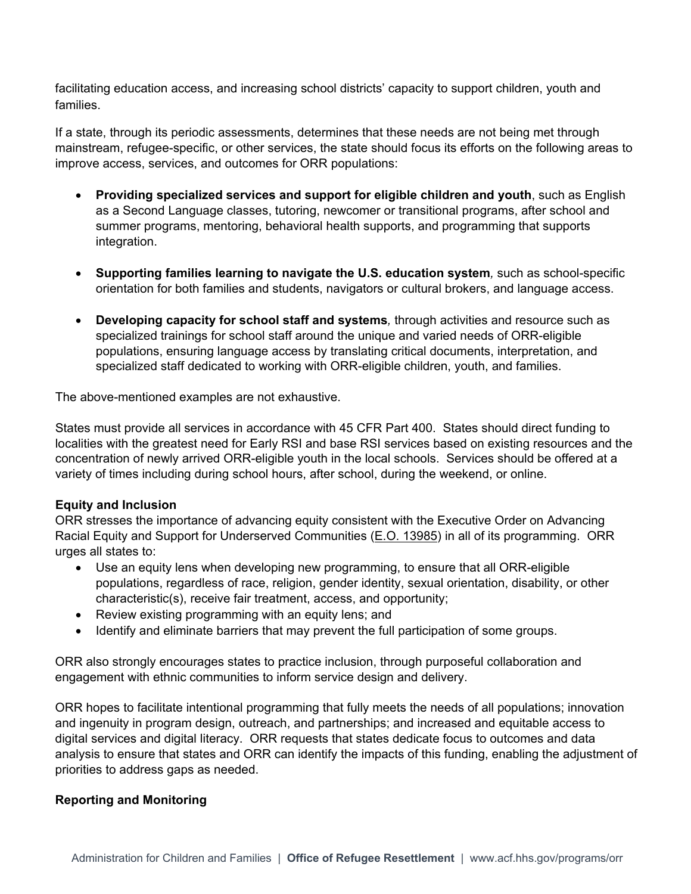facilitating education access, and increasing school districts' capacity to support children, youth and families.

If a state, through its periodic assessments, determines that these needs are not being met through mainstream, refugee-specific, or other services, the state should focus its efforts on the following areas to improve access, services, and outcomes for ORR populations:

- **Providing specialized services and support for eligible children and youth**, such as English as a Second Language classes, tutoring, newcomer or transitional programs, after school and summer programs, mentoring, behavioral health supports, and programming that supports integration.
- **Supporting families learning to navigate the U.S. education system***,* such as school-specific orientation for both families and students, navigators or cultural brokers, and language access.
- **Developing capacity for school staff and systems***,* through activities and resource such as specialized trainings for school staff around the unique and varied needs of ORR-eligible populations, ensuring language access by translating critical documents, interpretation, and specialized staff dedicated to working with ORR-eligible children, youth, and families.

The above-mentioned examples are not exhaustive.

States must provide all services in accordance with 45 CFR Part 400. States should direct funding to localities with the greatest need for Early RSI and base RSI services based on existing resources and the concentration of newly arrived ORR-eligible youth in the local schools. Services should be offered at a variety of times including during school hours, after school, during the weekend, or online.

## **Equity and Inclusion**

ORR stresses the importance of advancing equity consistent with the Executive Order on Advancing Racial Equity and Support for Underserved Communities [\(E.O. 13985\)](https://www.whitehouse.gov/briefing-room/presidential-actions/2021/01/20/executive-order-advancing-racial-equity-and-support-for-underserved-communities-through-the-federal-government/) in all of its programming. ORR urges all states to:

- Use an equity lens when developing new programming, to ensure that all ORR-eligible populations, regardless of race, religion, gender identity, sexual orientation, disability, or other characteristic(s), receive fair treatment, access, and opportunity;
- Review existing programming with an equity lens; and
- Identify and eliminate barriers that may prevent the full participation of some groups.

ORR also strongly encourages states to practice inclusion, through purposeful collaboration and engagement with ethnic communities to inform service design and delivery.

ORR hopes to facilitate intentional programming that fully meets the needs of all populations; innovation and ingenuity in program design, outreach, and partnerships; and increased and equitable access to digital services and digital literacy. ORR requests that states dedicate focus to outcomes and data analysis to ensure that states and ORR can identify the impacts of this funding, enabling the adjustment of priorities to address gaps as needed.

#### **Reporting and Monitoring**